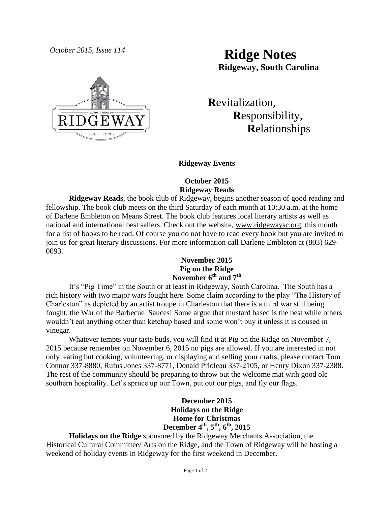

# *October 2015, Issue 114* **Ridge Notes Ridgeway, South Carolina**

 **R**evitalization,  **R**esponsibility,  **R**elationships

## **Ridgeway Events**

### **October 2015 Ridgeway Reads**

**Ridgeway Reads**, the book club of Ridgeway, begins another season of good reading and fellowship. The book club meets on the third Saturday of each month at 10:30 a.m. at the home of Darlene Embleton on Means Street. The book club features local literary artists as well as national and international best sellers. Check out the website, [www.ridgewaysc.org,](http://www.ridgewaysc.org/) this month for a list of books to be read. Of course you do not have to read every book but you are invited to join us for great literary discussions. For more information call Darlene Embleton at (803) 629- 0093.

### **November 2015 Pig on the Ridge November 6th and 7th**

It's "Pig Time" in the South or at least in Ridgeway, South Carolina. The South has a rich history with two major wars fought here. Some claim according to the play "The History of Charleston" as depicted by an artist troupe in Charleston that there is a third war still being fought, the War of the Barbecue Sauces! Some argue that mustard based is the best while others wouldn't eat anything other than ketchup based and some won't buy it unless it is doused in vinegar.

Whatever tempts your taste buds, you will find it at Pig on the Ridge on November 7, 2015 because remember on November 6, 2015 no pigs are allowed. If you are interested in not only eating but cooking, volunteering, or displaying and selling your crafts, please contact Tom Connor 337-8880, Rufus Jones 337-8771, Donald Prioleau 337-2105, or Henry Dixon 337-2388. The rest of the community should be preparing to throw out the welcome mat with good ole southern hospitality. Let's spruce up our Town, put out our pigs, and fly our flags.

# **December 2015 Holidays on the Ridge Home for Christmas December 4th, 5th, 6th, 2015**

**Holidays on the Ridge** sponsored by the Ridgeway Merchants Association, the Historical Cultural Committee/ Arts on the Ridge, and the Town of Ridgeway will be hosting a weekend of holiday events in Ridgeway for the first weekend in December.